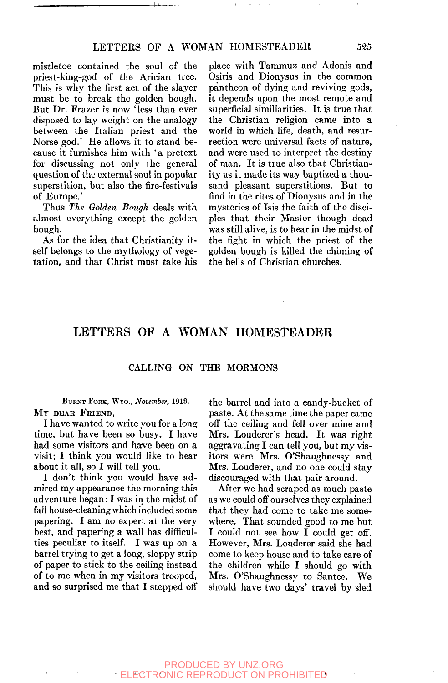mistletoe contained the soul of the priest-king-god of the Arician tree. This is why the first act of the slayer must be to break the golden bough. But Dr. Frazer is now 'less than ever disposed to lay weight on the analogy between the Italian priest and the Norse god.' He allows it to stand because it furnishes him with 'a pretext for discussing not only the general question of the external soul in popular superstition, but also the fire-festivals of Europe.'

Thus *The Golden Bough* deals with almost everything except the golden bough.

As for the idea that Christianity itself belongs to the mythology of vegetation, and that Christ must take his place with Tammuz and Adonis and Osiris and Dionysus in the common pantheon of dying and reviving gods, it depends upon the most remote and superficial similiarities. It is true that the Christian religion came into a world in which life, death, and resurrection were universal facts of nature, and were used to interpret the destiny of man. It is true also that Christianity as it made its way baptized a thousand pleasant superstitions. But to find in the rites of Dionysus and in the mysteries of Isis the faith of the disciples that their Master though dead was still alive, is to hear in the midst of the fight in which the priest of the golden bough is killed the chiming of the bells of Christian churches.

# LETTERS OF A WOMAN HOMESTEADER

### CALLING ON THE MORMONS

BURNT FORK, WYO., *November,* 1913.  $MY$  dear Friend, --

I have wanted to write you for a long time, but have been so busy. I have had some visitors and have been on a visit; I think you would like to hear about it all, so I will tell you.

I don't think you would have admired my appearance the morning this adventure began: I was in the midst of fall house-cleaning which included some papering. I am no expert at the very best, and papering a wall has difficulties peculiar to itself. I was up on a barrel trying to get a long, sloppy strip of paper to stick to the ceiling instead of to me when in my visitors trooped, and so surprised me that I stepped off

the barrel and into a candy-bucket of paste. At the same time the paper came off the ceiling and fell over mine and Mrs. Louderer's head. It was right aggravating I can tell you, but my visitors were Mrs. O'Shaughnessy and Mrs. Louderer, and no one could stay discouraged with that pair around.

After we had scraped as much paste as we could off ourselves they explained that they had come to take me somewhere. That sounded good to me but I could not see how I could get off. However, Mrs. Louderer said she had come to keep house and to take care of the children while I should go with Mrs. O'Shaughnessy to Santee. We should have two days' travel by sled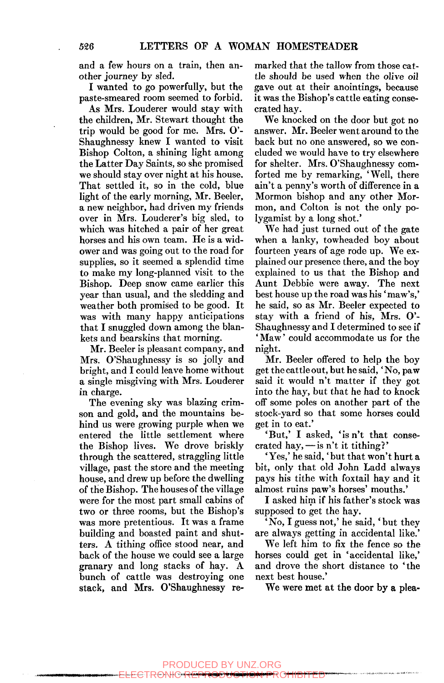and a few hours on a train, then another journey by sled.

I wanted to go powerfully, but the paste-smeared room seemed to forbid.

As Mrs. Louderer would stay with the children, Mr. Stewart thought the trip would be good for me. Mrs. O'- Shaughnessy knew I wanted to visit Bishop Colton, a shining light among the Latter Day Saints, so she promised we should stay over night at his house. That settled it, so in the cold, blue light of the early morning, Mr. Beeler, a new neighbor, had driven my friends over in Mrs. Louderer's big sled, to which was hitched a pair of her great horses and his own team. He is a widower and was going out to the road for supplies, so it seemed a splendid time to make my long-planned visit to the Bishop. Deep snow came earlier this year than usual, and the sledding and weather both promised to be good. It was with many happy anticipations that I snuggled down among the blankets and bearskins that morning.

Mr. Beeler is pleasant company, and Mrs. O'Shaughnessy is so jolly and bright, and I could leave home without a single misgiving with Mrs. Louderer in charge.

The evening sky was blazing crimson and gold, and the mountains behind us were growing purple when we entered the little settlement where the Bishop lives. We drove briskly through the scattered, straggling little village, past the store and the meeting house, and drew up before the dwelling of the Bishop. The houses of the village were for the most part small cabins of two or three rooms, but the Bishop's was more pretentious. It was a frame building and boasted paint and shutters. A tithing office stood near, and back of the house we could see a large granary and long stacks of hay. A bunch of cattle was destroying one stack, and Mrs. O'Shaughnessy re-

ECTRONIC RE

marked that the tallow from those cattle should be used when the olive oil gave out at their anointings, because it was the Bishop's cattle eating consecrated hay.

We knocked on the door but got no answer. Mr. Beeler went around to the back but no one answered, so we concluded we would have to try elsewhere for shelter. Mrs. O'Shaughnessy comforted me by remarking, 'Well, there ain't a penny's worth of difference in a Mormon bishop and any other Mormon, and Colton is not the only polygamist by a long shot.'

We had just turned out of the gate when a lanky, towheaded boy about fourteen years of age rode up. We explained our presence there, and the boy explained to us that the Bishop and Aunt Debbie were away. The next best house up the road was his 'maw's,' he said, so as Mr. Beeler expected to stay with a friend of his, Mrs. O'- Shaughnessy and I determined to see if ' Maw' could accommodate us for the night.

Mr. Beeler offered to help the boy get the cattle out, but he said, 'No, paw said it would n't matter if they got into the hay, but that he had to knock off some poles on another part of the stock-yard so that some horses could get in to eat.'

'But,' I asked, 'is n't that consecrated hay,  $-\sin$  't it tithing?'

'Yes,' he said, 'but that won't hurt a bit, only that old John Ladd always pays his tithe with foxtail hay and it almost ruins paw's horses' mouths.'

I asked him if his father's stock was supposed to get the hay.

'No, I guess not,' he said, 'but they are always getting in accidental like.'

We left him to fix the fence so the horses could get in 'accidental like,' and drove the short distance to 'the next best house.'

We were met at the door by a plea-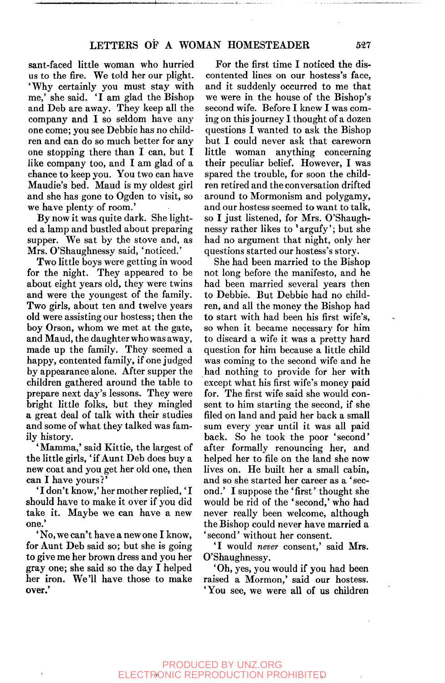sant-faced little woman who hurried us to the fire. We told her our plight. 'Why certainly you must stay with me,' she said. 'I am glad the Bishop and Deb are away. They keep all the company and I so seldom have any one come; you see Debbie has no children and can do so much better for any one stopping there than  $I$  can, but  $I$ like company too, and I am glad of a chance to keep you. You two can have Maudie's bed. Maud is my oldest girl and she has gone to Ogden to visit, so we have plenty of room.'

By now it was quite dark. She lighted a lamp and bustled about preparing supper. We sat by the stove and, as Mrs. O'Shaughnessy said, 'noticed.'

Two little boys were getting in wood for the night. They appeared to be about eight years old, they were twins and were the youngest of the family. Two girls, about ten and twelve years old were assisting our hostess; then the boy Orson, whom we met at the gate, and Maud, the daughter who was away, made up the family. They seemed a happy, contented family, if one judged by appearance alone. After supper the children gathered around the table to prepare next day's lessons. They were bright little folks, but they mingled a great deal of talk with their studies and some of what they talked was family history.

'Mamma,' said Kittie, the largest of the little girls, 'if Aunt Deb does buy a new coat and you get her old one, then can I have yours?'

' I don't know,' her mother replied,' I should have to make it over if you did take it. Maybe we can have a new one.'

' No, we can't have a new one I know, for Aunt Deb said so; but she is going to give me her brown dress and you her gray one; she said so the day I helped her iron. We'll have those to make over.'

For the first time I noticed the discontented lines on our hostess's face, and it suddenly occurred to me that we were in the house of the Bishop's second wife. Before I knew I was coming on this journey I thought of a dozen questions I wanted to ask the Bishop but I could never ask that careworn little woman anything concerning their peculiar belief. However, I was spared the trouble, for soon the children retired and the conversation drifted around to Mormonism and polygamy, and our hostess seemed to want to talk, so I just listened, for Mrs. O'Shaughnessy rather likes to 'argufy'; but she had no argument that night, only her questions started our hostess's story.

She had been married to the Bishop not long before the manifesto, and he had been married several years then to Debbie. But Debbie had no children, and all the money the Bishop had to start with had been his first wife's, so when it became necessary for him to discard a wife it was a pretty hard question for him because a little child was coming to the second wife and he had nothing to provide for her with except what his first wife's money paid for. The first wife said she would consent to him starting the second, if she filed on land and paid her back a small sum every year until it was all paid back. So he took the poor 'second' after formally renouncing her, and helped her to file on the land she now lives on. He built her a small cabin, and so she started her career as a 'second.' I suppose the 'first' thought she would be rid of the 'second,' who had never really been welcome, although the Bishop could never have married a 'second' without her consent.

'I would *never* consent,' said Mrs. O'Shaughnessy.

'Oh, yes, you would if you had been raised a Mormon,' said our hostess. 'You see, we were all of us children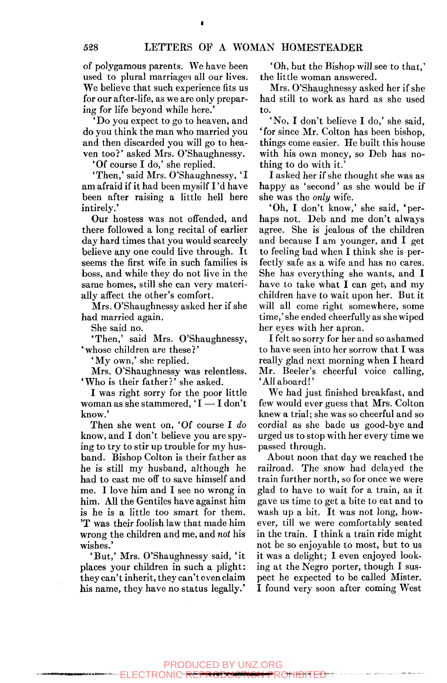of polygamous parents. We have been used to plural marriages all our lives. We believe that such experience fits us for our after-life, as we are only preparing for life beyond while here.'

'Do you expect to go to heaven, and do you think the man who married you and then discarded you will go to heaven too?' asked Mrs. O'Shaughnessy.

'Of course I do,' she replied.

'Then,' said Mrs. O'Shaughnessy, 'I am afraid if it had been mysilf I 'd have been after raising a little hell here intirely.'

Our hostess was not offended, and there followed a long recital of earlier day hard times that you would scarcely believe any one could live through. It seems the first wife in such families is boss, and while they do not live in the same homes, still she can very materially affect the other's comfort.

Mrs. O'Shaughnessy asked her if she had married again.

She said no.

'Then,' said Mrs. O'Shaughnessy, 'whose children are these?'

'My own,' she replied.

Mrs. O'Shaughnessy was relentless. 'Who is their father?' she asked.

I was right sorry for the poor little woman as she stammered,  $I - I$  don't know.'

Then she went on, 'Of course I *do*  know, and I don't believe you are spying to try to stir up trouble for my husband. Bishop Colton is their father as he is still my husband, although he had to cast me off to save himself and me. I love him and I see no wrong in him. All the Gentiles have against him is he is a little too smart for them. 'T was their foolish law that made him wrong the children and me, and *not* his wishes.'

'But,' Mrs. O'Shaughnessy said, 'it places your children in such a plight: they can't inherit, they can't even claim his name, they have no status legally.'

'Oh, but the Bishop will see to that,' the little woman answered.

Mrs. O'Shaughnessy asked her if she had still to work as hard as she used to.

'No, I don't believe I do,' she said, ' for since Mr. Colton has been bishop, things come easier. He built this house with his own money, so Deb has nothing to do with it.'

I asked her if she thought she was as happy as 'second' as she would be if she was the *only* wife.

'Oh, I don't know,' she said, 'perhaps not. Deb and me don't always agree. She is jealous of the children and because I am younger, and I get to feeling bad when I think she is perfectly safe as a wife and has no cares. She has everything she wants, and I have to take what I can get, and my children have to wait upon her. But it will all come right somewhere, some time,' she ended cheerfully as she wiped her eyes with her apron.

I felt so sorry for her and so ashamed to have seen into her sorrow that I was really glad next morning when I heard Mr. Beeler's cheerful voice calling, 'All aboard!'

We had just finished breakfast, and few would ever guess that Mrs. Colton knew a trial; she was so cheerful and so cordial as she bade us good-bye and urged us to stop with her every time we passed through.

About noon that day we reached the railroad. The snow had delayed the train further north, so for once we were glad to have to wait for a train, as it gave us time to get a bite to eat and to wash up a bit. It was not long, however, till we were comfortably seated in the train. I think a train ride might not be so enjoyable to most, but to us it was a delight; I even enjoyed looking at the Negro porter, though I suspect he expected to be called Mister. I found very soon after coming West

PRODUCED BY UNZ.ORG

**<w.iifi#^iw** *wfvmmm*  ECTRONIC RE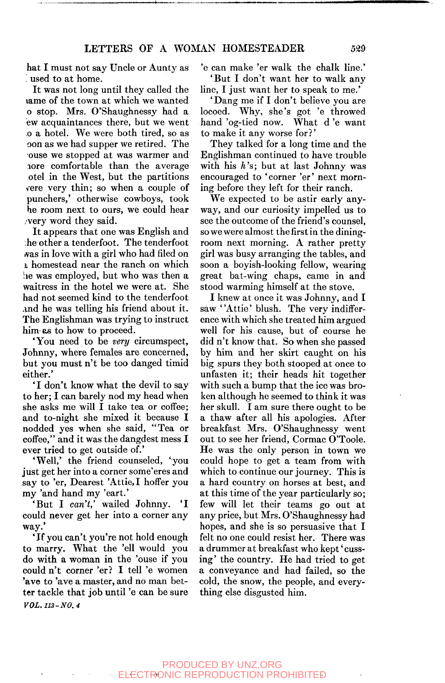hat I must not say Uncle or Aunty as *'.* used to at home.

It was not long until they called the lame of the town at which we wanted o stop. Mrs. O'Shaughnessy had a ew acquaintances there, but we went .0 a hotel. We were both tired, so as oon as we had supper we retired. The ouse we stopped at was warmer and hore comfortable than the average otel in the West, but the partitions vere very thin; so when a couple of punchers,' otherwise cowboys, took he room next to ours, we could hear , very word they said.

It appears that one was English and he other a tenderfoot. The tenderfoot was in love with a girl who had filed on 1 homestead near the ranch on which *he* was employed, but who was then a waitress in the hotel we were at. She had not seemed kind to the tenderfoot and he was telling his friend about it. The Englishman was trying to instruct him as to how to proceed.

'You need to be *very* circumspect, Johnny, where females are concerned, but you must n't be too danged timid either.'

'I don't know what the devil to say to her; I can barely nod my head when she asks me will I take tea or coffee; and to-night she mixed it because I nodded yes when she said, "Tea or coffee," and it was the dangdest mess I ever tried to get outside of.'

'Well,' the friend counseled, 'you just get her into a corner some'eres and say to 'er. Dearest 'Attie,I hoffer you my 'and hand my 'eart.'

'But I *can't,'* wailed Johnny. 'I could never get her into a corner any way.'

'If you can't you're not hold enough to marry. What the 'ell would you do with a woman in the 'ouse if you could n't corner 'er? I tell 'e women 'ave to 'ave a master, and no man better tackle that job until 'e can be sure *VOL. 113-NO. 4* 

'e can make 'er walk the chalk line.' 'But I don't want her to walk any line, I just want her to speak to me.'

' Dang me if I don't believe you are locoed. Why, she's got 'e throwed hand 'og-tied now. What d 'e want to make it any worse for?'

They talked for a long time and the Englishman continued to have trouble with his *h's;* but at last Johnny was encouraged to 'corner 'er' next morning before they left for their ranch.

We expected to be astir early anyway, and our curiosity impelled us to see the outcome of the friend's counsel, so we were almost the first in the diningroom next morning. A rather pretty girl was busy arranging the tables, and soon a boyish-looking fellow, wearing great bat-wing chaps, came in and stood warming himself at the stove.

I knew at once it was Johnny, and I saw 'Attie' blush. The very indifference with which she treated him argued well for his cause, but of course he did n't know that. So when she passed by him and her skirt caught on his big spurs they both stooped at once to unfasten it; their heads hit together with such a bump that the ice was broken although he seemed to think it was her skull. I am sure there ought to be a thaw after all his apologies. After breakfast Mrs. O'Shaughnessy went out to see her friend, Cormac O'Toole. He was the only person in town we could hope to get a team from with which to continue our journey. This is a hard country on horses at best, and at this time of the year particularly so; few will let their teams go out at any price, but Mrs. O'Shaughnessy had hopes, and she is so persuasive that I felt no one could resist her. There was a drummer at breakfast who kept' cussing' the country. He had tried to get a conveyance and had failed, so the cold, the snow, the people, and everything else disgusted him.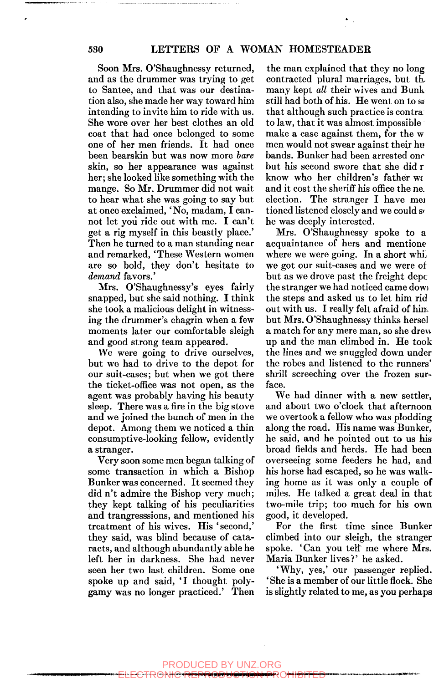Soon Mrs. O'Shaughnessy returned, and as the drummer was trying to get to Santee, and that was our destination also, she made her way toward him intending to invite him to ride with us. She wore over her best clothes an old coat that had once belonged to some one of her men friends. It had once been bearskin but was now more *bare*  skin, so her appearance was against her; she looked like something with the mange. So Mr. Drummer did not wait to hear what she was going to say but at once exclaimed, 'No, madam, I cannot let yoii ride out with me. I can't get a rig myself in this beastly place.' Then he turned to a man standing near and remarked, 'These Western women are so bold, they don't hesitate to *demand* favors.'

Mrs. O'Shaughnessy's eyes fairly snapped, but she said nothing. I think she took a malicious delight in witnessing the drummer's chagrin when a few moments later our comfortable sleigh and good strong team appeared.

We were going to drive ourselves, but we had to drive to the depot for our suit-cases; but when we got there the ticket-office was not open, as the agent was probably having his beauty sleep. There was a fire in the big stove and we joined the bunch of men in the depot. Among them we noticed a thin consumptive-looking fellow, evidently a stranger.

Very soon some men began talking of some transaction in which a Bishop Bunker was concerned. It seemed they did n't admire the Bishop very much; they kept talking of his peculiarities and trangresssions, and mentioned his treatment of his wives. His 'second,' they said, was blind because of cataracts, and although abundantly able he left her in darkness. She had never seen her two last children. Some one spoke up and said, 'I thought polygamy was no longer practiced.' Then

the man explained that they no long contracted plural marriages, but th. many kept *all* their wives and Bunk still had both of his. He went on to se that although such practice is contra to law, that it was almost impossible make a case against them, for the w men would not swear against their hu bands. Bunker had been arrested onr but his second swore that she did r know who her children's father we and it cost the sheriff his office the ne. election. The stranger I have mei tioned listened closely and we could she was deeply interested.

Mrs. O'Shaughnessy spoke to a acquaintance of hers and mentione where we were going. In a short while we got our suit-cases and we were of but as we drove past the freight depc: the stranger we had noticed came dowi the steps and asked us to let him rid out with us. I really felt afraid of him but Mrs. O'Shaughnessy thinks hersel a match for any mere man, so she drew up and the man climbed in. He took the lines and we snuggled down under the robes and listened to the runners' shrill screeching over the frozen surface.

We had dinner with a new settler, and about two o'clock that afternoon we overtook a fellow who was plodding along the road. His name was Bunker, he said, and he pointed out to us his broad fields and herds. He had been overseeing some feeders he had, and his horse had escaped, so he was walking home as it was only a couple of miles. He talked a great deal in that two-mile trip; too much for his own good, it developed.

For the first time since Bunker climbed into our sleigh, the stranger spoke. 'Can you telf me where Mrs. Maria Bunker lives?' he asked.

'Why, yes,' our passenger replied. ' She is a member of our little flock. She is slightly related to me, as you perhaps

### *•i^mmmmmmmmmmmmi'mmt^fifKU*  PRODUCED BY UNZ.ORG ELECTRONIC REPRODUCTION PROHIBITED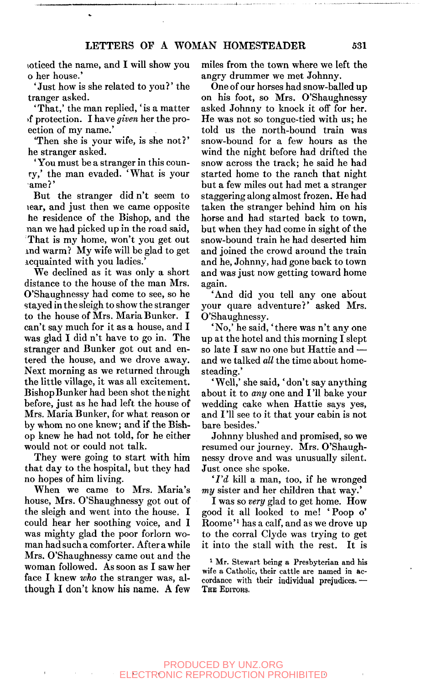loticed the name, and I will show you o her house.'

'Just how is she related to you?' the tranger asked.

'That,' the man replied, 'is a matter >f protection. I have *given* her the proection of my name.'

'Then she is your wife, is she not?' he stranger asked.

'You must be a stranger in this counry,' the man evaded. 'What is your ame?'

But the stranger did n't seem to lear, and just then we came opposite he residence of the Bishop, and the nan we had picked up in the road said. That is my home, won't you get out indwarm? My wife will be glad to get icquainted with you ladies.'

We declined as it was only a short distance to the house of the man Mrs. O'Shaughnessy had come to see, so he stayed in the sleigh to show the stranger to the house of Mrs. Maria Bunker. I can't say much for it as a house, and I was glad I did n't have to go in. The stranger and Bunker got out and entered the house, and we drove away. Next morning as we returned through the little village, it was all excitement. Bishop Bunker had been shot the night before, just as he had left the house of Mrs. Maria Bunker, for what reason or by whom no one knew; and if the Bishop knew he had not told, for he either would not or could not talk.

They were going to start with him that day to the hospital, but they had no hopes of him living.

When we came to Mrs. Maria's house, Mrs. O'Shaughnessy got out of the sleigh and went into the house. I could hear her soothing voice, and I was mighty glad the poor forlorn woman had such a comforter. After a while Mrs. O'Shaughnessy came out and the woman followed. As soon as I saw her face I knew *who* the stranger was, although I don't know his name. A few miles from the town where we left the angry drummer we met Johnny.

One of our horses had snow-balled up on his foot, so Mrs. O'Shaughnessy asked Johnny to knock it off for her. He was not so tongue-tied with us; he told us the north-bound train was snow-bound for a few hours as the wind the night before had drifted the snow across the track; he said he had started home to the ranch that night but a few miles out had met a stranger staggering along almost frozen. He had taken the stranger behind him on his horse and had started back to town, but when they had come in sight of the snow-bound train he had deserted him and joined the crowd around the train and he, Johnny, had gone back to town and was just now getting toward home again.

'And did you tell any one about your quare adventure?' asked Mrs. O'Shaughnessy.

'No,' he said, 'there was n't any one up at the hotel and this morning I slept so late I saw no one but Hattie and and we talked *all* the time about homesteading.'

'Well,' she said, 'don't say anything about it to *any* one and I '11 bake your wedding cake when Hattie says yes, and I'll see to it that your cabin is not bare besides.'

Johnny blushed and promised, so we resumed our journey. Mrs. O'Shaughnessy drove and was unusually silent. Just once she spoke.

*'I'd* kill a man, too, if he wronged *my* sister and her children that way.'

I was so *very* glad to get home. How good it all looked to me! 'Poop o' Roome'<sup>1</sup> has a calf, and as we drove up to the corral Clyde was trying to get it into the stall with the rest. It is

<sup>1</sup> Mr. Stewart being a Presbyterian and his wife a Catholic, their cattle are named in accordance with their individual prejudices. — THE EDITOR8.

### PRODUCED BY UNZ.ORG ELECTRONIC REPRODUCTION PROHIBITED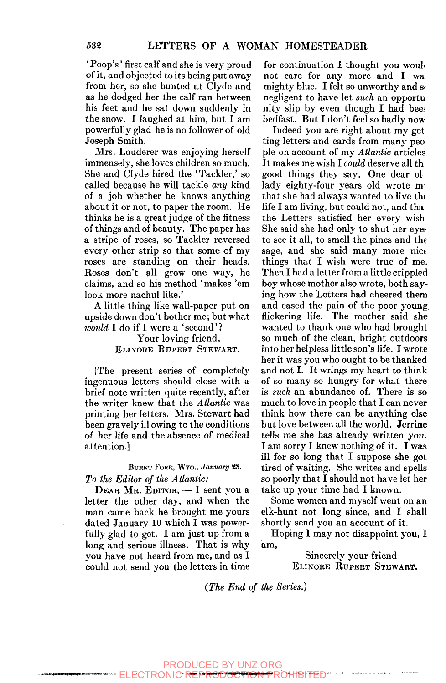'Poop's' first calf and she is very proud of it, and objected to its being put away from her, so she bunted at Clyde and as he dodged her the calf ran between his feet and he sat down suddenly in the snow. I laughed at him, but I am powerfully glad he is no follower of old Joseph Smith.

Mrs. Louderer was enjoying herself immensely, she loves children so much. She and Clyde hired the 'Tackier,' so called because he will tackle *any* kind of a job whether he knows anything about it or not, to paper the room. He thinks he is a great judge of the fitness of things and of beauty. The paper has a stripe of roses, so Tackier reversed every other strip so that some of my roses are standing on their heads. Roses don't all grow one way, he claims, and so his method 'makes 'em look more nachul like.'

A little thing like wall-paper put on upside down don't bother me; but what *would* I do if I were a 'second'?

## Your loving friend, ELINORE RUPERT STEWART.

[The present series of completely ingenuous letters should close with a brief note written quite recently, after the writer knew that the *Atlantic* was printing her letters. Mrs. Stewart had been gravely ill owing to the conditions of her life and the absence of medical attention.]

### BURNT FOEK, WTO., *January* 23. *To the Editor of the Atlantic:*

DEAR MR. EDITOR, — I sent you a letter the other day, and when the man came back he brought me yours dated January 10 which I was powerfully glad to get. I am just up from a long and serious illness. That is why you have not heard from me, and as I could not send you the letters in time for continuation I thought you would not care for any more and I wa mighty blue. I felt so unworthy and so negligent to have let *such* an opportu nity slip by even though I had bee: bedfast. But I don't feel so badly now

Indeed you are right about my get ting letters and cards from many peo pie on account of my *Atlantic* articles It makes me wish I *could* deserve all th good things they say. One dear oL lady eighty-four years old wrote m that she had always wanted to live tht life I am living, but could not, and tha the Letters satisfied her every wish She said she had only to shut her eyes to see it all, to smell the pines and the sage, and she said many more nice things that I wish were true of me. Then I had a letter from a little crippled boy whose mother also wrote, both saying how the Letters had cheered them and eased the pain of the poor young, flickering life. The mother said she wanted to thank one who had brought so much of the clean, bright outdoors into her helpless little son's life. I wrote her it was you who ought to be thanked and not I. It wrings my heart to think of so many so hungry for what there is *such* an abundance of. There is so much to love in people that I can never think how there can be anything else but love between all the world. Jerrine tells me she has already written you. I am sorry I knew nothing of it. I was ill for so long that I suppose she got tired of waiting. She writes and spells so poorly that  $\overline{I}$  should not have let her take up your time had I known.

Some women and myself went on an elk-hunt not long since, and I shall shortly send you an account of it.

Hoping I may not disappoint you, I am.

> Sincerely your friend ELINORE RUPERT STEWART,

*{The End of the Series.)* 

**wwwwMiiwMiinMpjii**  ECTRONIC REPRODUCTION PROHIBITED